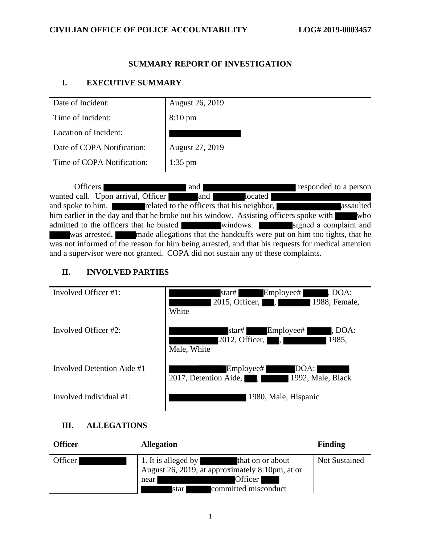### **SUMMARY REPORT OF INVESTIGATION**

# **I. EXECUTIVE SUMMARY**

| Date of Incident:          | <b>August 26, 2019</b> |
|----------------------------|------------------------|
| Time of Incident:          | $8:10 \text{ pm}$      |
| Location of Incident:      |                        |
| Date of COPA Notification: | August 27, 2019        |
| Time of COPA Notification: | $1:35$ pm              |

Officers and and responded to a person wanted call. Upon arrival, Officer and and located and spoke to him. The related to the officers that his neighbor, assaulted him earlier in the day and that he broke out his window. Assisting officers spoke with who admitted to the officers that he busted windows. Signed a complaint and was arrested. made allegations that the handcuffs were put on him too tights, that he was not informed of the reason for him being arrested, and that his requests for medical attention and a supervisor were not granted. COPA did not sustain any of these complaints.

# **II. INVOLVED PARTIES**

| Involved Officer #1:       | Employee#<br>, DOA:<br>star# <br>2015, Officer,<br>1988, Female,<br>$\mathbb{R}^n$<br>White |
|----------------------------|---------------------------------------------------------------------------------------------|
| Involved Officer #2:       | star# Employee#<br>, DOA:<br>1985,<br>2012, Officer, I<br>$\mathbf{L}$<br>Male, White       |
| Involved Detention Aide #1 | Employee#<br>DOA: I<br>2017, Detention Aide,<br>1992, Male, Black<br>$\mathbf{I}$           |
| Involved Individual #1:    | 1980, Male, Hispanic                                                                        |

# **III. ALLEGATIONS**

| <b>Officer</b> | <b>Allegation</b>                                                                                                                            | Finding       |
|----------------|----------------------------------------------------------------------------------------------------------------------------------------------|---------------|
| Officer        | 1. It is alleged by that on or about<br>August 26, 2019, at approximately 8:10pm, at or<br>Officer  <br>near<br>committed misconduct<br>star | Not Sustained |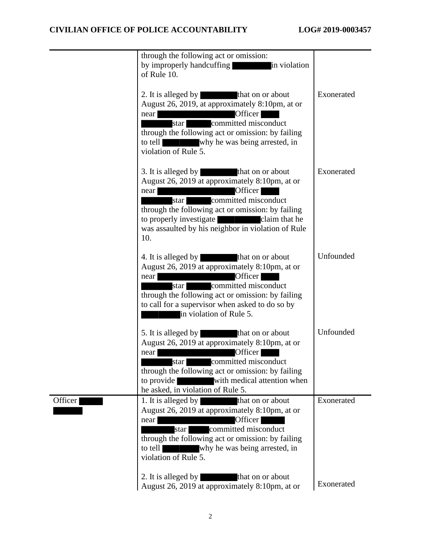|                | through the following act or omission:<br>by improperly handcuffing<br>in violation<br>of Rule 10.                                                                                                                                                                                                           |            |
|----------------|--------------------------------------------------------------------------------------------------------------------------------------------------------------------------------------------------------------------------------------------------------------------------------------------------------------|------------|
|                | 2. It is alleged by that on or about<br>August 26, 2019, at approximately 8:10pm, at or<br>Officer<br>near<br>star committed misconduct<br>through the following act or omission: by failing<br>why he was being arrested, in<br>to tell<br>violation of Rule 5.                                             | Exonerated |
|                | 3. It is alleged by<br>that on or about<br>August 26, 2019 at approximately 8:10pm, at or<br>Officer<br>near<br>committed misconduct<br>star L<br>through the following act or omission: by failing<br>to properly investigate<br>claim that he<br>was assaulted by his neighbor in violation of Rule<br>10. | Exonerated |
|                | 4. It is alleged by that on or about<br>August 26, 2019 at approximately 8:10pm, at or<br>Officer<br>near<br>committed misconduct<br>star<br>through the following act or omission: by failing<br>to call for a supervisor when asked to do so by<br>in violation of Rule 5.                                 | Unfounded  |
|                | 5. It is alleged by<br>that on or about<br>August 26, 2019 at approximately 8:10pm, at or<br>Officer  <br>near<br>star committed misconduct<br>through the following act or omission: by failing<br>to provide<br>with medical attention when<br>he asked, in violation of Rule 5.                           | Unfounded  |
| <b>Officer</b> | 1. It is alleged by<br>that on or about<br>August 26, 2019 at approximately 8:10pm, at or<br>Officer<br>near<br>committed misconduct<br>star I<br>through the following act or omission: by failing<br>why he was being arrested, in<br>to tell<br>violation of Rule 5.                                      | Exonerated |
|                | 2. It is alleged by<br>that on or about<br>August 26, 2019 at approximately 8:10pm, at or                                                                                                                                                                                                                    | Exonerated |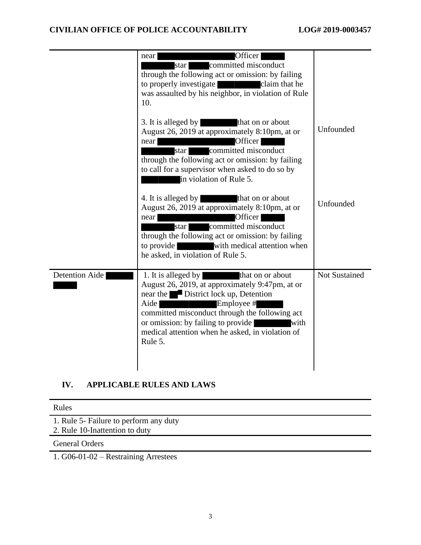|                       | Officer<br>near<br>committed misconduct<br>star  <br>through the following act or omission: by failing<br>to properly investigate<br>claim that he<br>was assaulted by his neighbor, in violation of Rule<br>10.                                                                                                                                                                                                                                                                                                                                                |                      |
|-----------------------|-----------------------------------------------------------------------------------------------------------------------------------------------------------------------------------------------------------------------------------------------------------------------------------------------------------------------------------------------------------------------------------------------------------------------------------------------------------------------------------------------------------------------------------------------------------------|----------------------|
|                       | 3. It is alleged by<br>that on or about<br>August 26, 2019 at approximately 8:10pm, at or<br>Officer<br>near<br>committed misconduct<br>star  <br>through the following act or omission: by failing<br>to call for a supervisor when asked to do so by<br>in violation of Rule 5.                                                                                                                                                                                                                                                                               | Unfounded            |
|                       | 4. It is alleged by that on or about<br>August 26, 2019 at approximately 8:10pm, at or<br>Officer<br>near<br>star committed misconduct<br>through the following act or omission: by failing<br>to provide<br>with medical attention when<br>he asked, in violation of Rule 5.                                                                                                                                                                                                                                                                                   | Unfounded            |
| <b>Detention Aide</b> | 1. It is alleged by<br>that on or about<br>August 26, 2019, at approximately 9:47pm, at or<br>near the District lock up, Detention<br>Aide<br>Employee #<br><u> Tanzania de San Francia de San Francia de San Francia de San Francia de San Francia de San Francia de San Francia de San Francia de San Francia de San Francia de San Francia de San Francia de San Francia de San Francia d</u><br>committed misconduct through the following act<br>or omission: by failing to provide<br>with<br>medical attention when he asked, in violation of<br>Rule 5. | <b>Not Sustained</b> |

# **IV. APPLICABLE RULES AND LAWS**

1. Rule 5- Failure to perform any duty 2. Rule 10-Inattention to duty

General Orders

1. G06-01-02 – Restraining Arrestees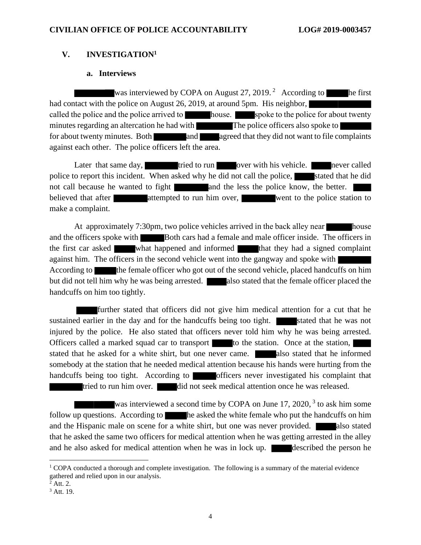### **V. INVESTIGATION<sup>1</sup>**

### **a. Interviews**

was interviewed by COPA on August 27, 2019.<sup>2</sup> According to he first had contact with the police on August 26, 2019, at around 5pm. His neighbor, called the police and the police arrived to house. Spoke to the police for about twenty minutes regarding an altercation he had with The police officers also spoke to for about twenty minutes. Both and agreed that they did not want to file complaints against each other. The police officers left the area.

Later that same day, tried to run over with his vehicle. Inever called police to report this incident. When asked why he did not call the police, stated that he did not call because he wanted to fight and the less the police know, the better. believed that after **attempted** to run him over, went to the police station to make a complaint.

At approximately 7:30pm, two police vehicles arrived in the back alley near house and the officers spoke with Both cars had a female and male officer inside. The officers in the first car asked what happened and informed that they had a signed complaint against him. The officers in the second vehicle went into the gangway and spoke with According to the female officer who got out of the second vehicle, placed handcuffs on him but did not tell him why he was being arrested. also stated that the female officer placed the handcuffs on him too tightly.

further stated that officers did not give him medical attention for a cut that he sustained earlier in the day and for the handcuffs being too tight. Stated that he was not injured by the police. He also stated that officers never told him why he was being arrested. Officers called a marked squad car to transport to the station. Once at the station, stated that he asked for a white shirt, but one never came. also stated that he informed somebody at the station that he needed medical attention because his hands were hurting from the handcuffs being too tight. According to **officers** never investigated his complaint that tried to run him over. did not seek medical attention once he was released.

was interviewed a second time by COPA on June 17, 2020,<sup>3</sup> to ask him some follow up questions. According to he asked the white female who put the handcuffs on him and the Hispanic male on scene for a white shirt, but one was never provided.  $\blacksquare$  also stated that he asked the same two officers for medical attention when he was getting arrested in the alley and he also asked for medical attention when he was in lock up. Solution described the person he

<sup>&</sup>lt;sup>1</sup> COPA conducted a thorough and complete investigation. The following is a summary of the material evidence gathered and relied upon in our analysis.

 $2$  Att. 2.

<sup>3</sup> Att. 19.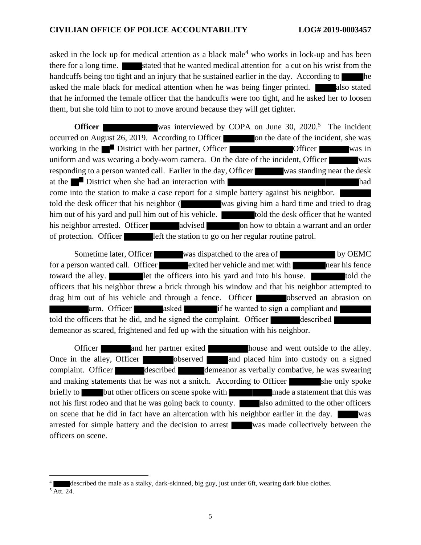asked in the lock up for medical attention as a black male<sup>4</sup> who works in lock-up and has been there for a long time. Stated that he wanted medical attention for a cut on his wrist from the handcuffs being too tight and an injury that he sustained earlier in the day. According to asked the male black for medical attention when he was being finger printed. also stated that he informed the female officer that the handcuffs were too tight, and he asked her to loosen them, but she told him to not to move around because they will get tighter.

**Officer** Was interviewed by COPA on June 30, 2020.<sup>5</sup> The incident occurred on August 26, 2019. According to Officer **on** the date of the incident, she was working in the District with her partner, Officer Constanting Officer was in uniform and was wearing a body-worn camera. On the date of the incident, Officer was responding to a person wanted call. Earlier in the day, Officer was standing near the desk at the District when she had an interaction with had come into the station to make a case report for a simple battery against his neighbor. told the desk officer that his neighbor ( was giving him a hard time and tried to drag him out of his yard and pull him out of his vehicle. **the use of the desk officer that he wanted** his neighbor arrested. Officer advised on how to obtain a warrant and an order of protection. Officer left the station to go on her regular routine patrol.

Sometime later, Officer was dispatched to the area of by OEMC for a person wanted call. Officer exited her vehicle and met with near his fence toward the alley. **let the officers into his yard and into his house.** told the officers that his neighbor threw a brick through his window and that his neighbor attempted to drag him out of his vehicle and through a fence. Officer observed an abrasion on arm. Officer asked if he wanted to sign a compliant and told the officers that he did, and he signed the complaint. Officer described demeanor as scared, frightened and fed up with the situation with his neighbor.

Officer and her partner exited house and went outside to the alley. Once in the alley, Officer **observed** and placed him into custody on a signed complaint. Officer described demeanor as verbally combative, he was swearing and making statements that he was not a snitch. According to Officer she only spoke briefly to but other officers on scene spoke with made a statement that this was not his first rodeo and that he was going back to county. also admitted to the other officers on scene that he did in fact have an altercation with his neighbor earlier in the day. was arrested for simple battery and the decision to arrest was made collectively between the officers on scene.

described the male as a stalky, dark-skinned, big guy, just under 6ft, wearing dark blue clothes.

 $\overline{5}$  Att. 24.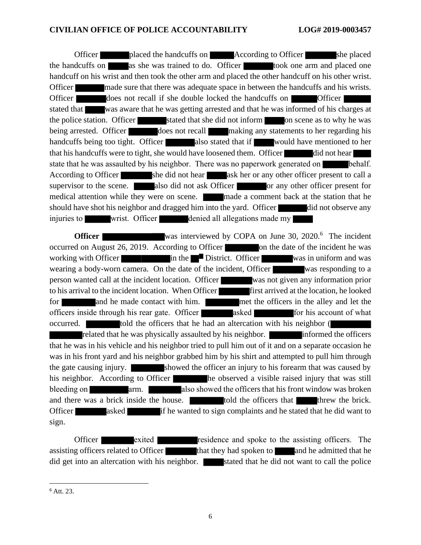Officer placed the handcuffs on According to Officer she placed the handcuffs on as she was trained to do. Officer took one arm and placed one handcuff on his wrist and then took the other arm and placed the other handcuff on his other wrist. Officer made sure that there was adequate space in between the handcuffs and his wrists. Officer does not recall if she double locked the handcuffs on Officer stated that was aware that he was getting arrested and that he was informed of his charges at the police station. Officer stated that she did not inform on scene as to why he was being arrested. Officer does not recall making any statements to her regarding his handcuffs being too tight. Officer also stated that if would have mentioned to her that his handcuffs were to tight, she would have loosened them. Officer did not hear state that he was assaulted by his neighbor. There was no paperwork generated on **b**ehalf. According to Officer she did not hear ask her or any other officer present to call a supervisor to the scene. also did not ask Officer or any other officer present for medical attention while they were on scene. made a comment back at the station that he should have shot his neighbor and dragged him into the yard. Officer did not observe any injuries to wrist. Officer denied all allegations made my

**Officer** Was interviewed by COPA on June 30, 2020.<sup>6</sup> The incident occurred on August 26, 2019. According to Officer **contain the date of the incident he was** working with Officer in the District. Officer was in uniform and was wearing a body-worn camera. On the date of the incident, Officer was responding to a person wanted call at the incident location. Officer was not given any information prior to his arrival to the incident location. When Officer first arrived at the location, he looked for and he made contact with him. The met the officers in the alley and let the officers inside through his rear gate. Officer asked for his account of what occurred. told the officers that he had an altercation with his neighbor ( related that he was physically assaulted by his neighbor. **Informed the officers** that he was in his vehicle and his neighbor tried to pull him out of it and on a separate occasion he was in his front yard and his neighbor grabbed him by his shirt and attempted to pull him through the gate causing injury. Showed the officer an injury to his forearm that was caused by his neighbor. According to Officer he observed a visible raised injury that was still bleeding on arm. also showed the officers that his front window was broken and there was a brick inside the house. The told the officers that threw the brick. Officer asked if he wanted to sign complaints and he stated that he did want to sign.

Officer exited residence and spoke to the assisting officers. The assisting officers related to Officer that they had spoken to and he admitted that he did get into an altercation with his neighbor. <br>Stated that he did not want to call the police

<sup>6</sup> Att. 23.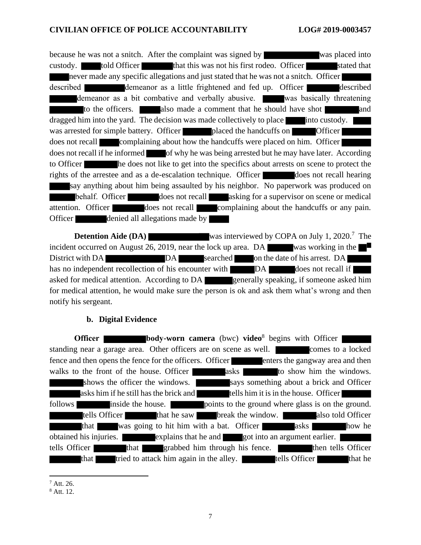because he was not a snitch. After the complaint was signed by was placed into custody. told Officer that this was not his first rodeo. Officer stated that never made any specific allegations and just stated that he was not a snitch. Officer described demeanor as a little frightened and fed up. Officer demeanor as a bit combative and verbally abusive. Was basically threatening to the officers. also made a comment that he should have shot and dragged him into the yard. The decision was made collectively to place into custody. was arrested for simple battery. Officer placed the handcuffs on Officer does not recall complaining about how the handcuffs were placed on him. Officer does not recall if he informed of why he was being arrested but he may have later. According to Officer he does not like to get into the specifics about arrests on scene to protect the rights of the arrestee and as a de-escalation technique. Officer does not recall hearing say anything about him being assaulted by his neighbor. No paperwork was produced on behalf. Officer does not recall asking for a supervisor on scene or medical attention. Officer does not recall complaining about the handcuffs or any pain. Officer denied all allegations made by

**Detention Aide (DA)** was interviewed by COPA on July 1, 2020.<sup>7</sup> The incident occurred on August 26, 2019, near the lock up area. DA was working in the District with DA DA DA searched on the date of his arrest. DA has no independent recollection of his encounter with DA does not recall if asked for medical attention. According to DA generally speaking, if someone asked him for medical attention, he would make sure the person is ok and ask them what's wrong and then notify his sergeant.

### **b. Digital Evidence**

**Officer body-worn camera** (bwc) **video**<sup>8</sup> begins with Officer standing near a garage area. Other officers are on scene as well. Comes to a locked fence and then opens the fence for the officers. Officer enters the gangway area and then walks to the front of the house. Officer asks to show him the windows. shows the officer the windows. says something about a brick and Officer asks him if he still has the brick and tells him it is in the house. Officer follows inside the house. points to the ground where glass is on the ground. tells Officer that he saw break the window. also told Officer that was going to hit him with a bat. Officer asks how he obtained his injuries. explains that he and got into an argument earlier. tells Officer that grabbed him through his fence. Then tells Officer that tried to attack him again in the alley. The tells Officer that he

 $^7$  Att. 26.

<sup>8</sup> Att. 12.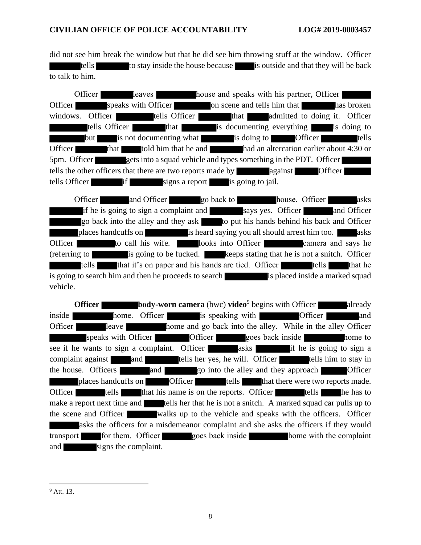did not see him break the window but that he did see him throwing stuff at the window. Officer tells to stay inside the house because is outside and that they will be back to talk to him.

Officer leaves house and speaks with his partner, Officer Officer speaks with Officer on scene and tells him that has broken windows. Officer tells Officer that admitted to doing it. Officer tells Officer that that is documenting everything is doing to but is not documenting what is doing to **Officer** tells Officer that told him that he and had an altercation earlier about 4:30 or 5pm. Officer gets into a squad vehicle and types something in the PDT. Officer tells the other officers that there are two reports made by against **Officer** tells Officer if if signs a report is going to jail.

Officer and Officer go back to house. Officer asks if he is going to sign a complaint and says yes. Officer and Officer go back into the alley and they ask to put his hands behind his back and Officer places handcuffs on is heard saying you all should arrest him too. asks Officer to call his wife. looks into Officer camera and says he (referring to is going to be fucked. keeps stating that he is not a snitch. Officer tells that it's on paper and his hands are tied. Officer tells that he is going to search him and then he proceeds to search is placed inside a marked squad vehicle.

**Officer body-worn camera** (bwc) **video**<sup>9</sup> begins with Officer already inside **home.** Officer is speaking with **interest officer** and Officer leave home and go back into the alley. While in the alley Officer speaks with Officer **Constant Officer** goes back inside home to see if he wants to sign a complaint. Officer asks asks if he is going to sign a complaint against and and tells her yes, he will. Officer tells him to stay in the house. Officers and go into the alley and they approach Officer places handcuffs on **Officer** tells that there were two reports made. Officer tells that his name is on the reports. Officer tells he has to make a report next time and tells her that he is not a snitch. A marked squad car pulls up to the scene and Officer walks up to the vehicle and speaks with the officers. Officer asks the officers for a misdemeanor complaint and she asks the officers if they would transport for them. Officer goes back inside home with the complaint and signs the complaint.

 $9$  Att. 13.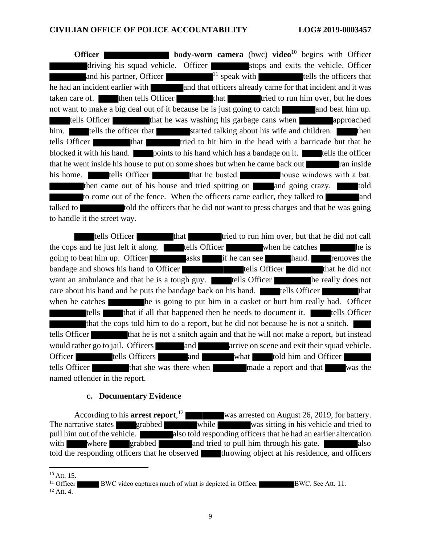**Officer body-worn camera** (bwc) **video**<sup>10</sup> begins with Officer driving his squad vehicle. Officer stops and exits the vehicle. Officer and his partner, Officer  $11$  speak with tells the officers that he had an incident earlier with and that officers already came for that incident and it was taken care of. then tells Officer that that tried to run him over, but he does not want to make a big deal out of it because he is just going to catch and beat him up. tells Officer that he was washing his garbage cans when approached him. tells the officer that started talking about his wife and children. tells Officer **that** that the tried to hit him in the head with a barricade but that he blocked it with his hand. points to his hand which has a bandage on it. tells the officer that he went inside his house to put on some shoes but when he came back out ran inside his home. **The tells Officer that he busted house** windows with a bat. then came out of his house and tried spitting on and going crazy. to come out of the fence. When the officers came earlier, they talked to talked to to told the officers that he did not want to press charges and that he was going to handle it the street way.

tells Officer that that tried to run him over, but that he did not call the cops and he just left it along. tells Officer when he catches he is going to beat him up. Officer asks if he can see hand. removes the bandage and shows his hand to Officer tells Officer that he did not want an ambulance and that he is a tough guy. In tells Officer he really does not care about his hand and he puts the bandage back on his hand. **The tells Officer** that when he catches he is going to put him in a casket or hurt him really bad. Officer tells that if all that happened then he needs to document it. tells Officer that the cops told him to do a report, but he did not because he is not a snitch. tells Officer that he is not a snitch again and that he will not make a report, but instead would rather go to jail. Officers and and arrive on scene and exit their squad vehicle. Officer tells Officers and what told him and Officer tells Officer that she was there when made a report and that was the named offender in the report.

### **c. Documentary Evidence**

According to his **arrest report**, was arrested on August 26, 2019, for battery. The narrative states grabbed while was sitting in his vehicle and tried to pull him out of the vehicle. also told responding officers that he had an earlier altercation with where grabbed and tried to pull him through his gate. told the responding officers that he observed throwing object at his residence, and officers

 $10$  Att. 15.

<sup>&</sup>lt;sup>11</sup> Officer BWC video captures much of what is depicted in Officer BWC. See Att. 11.  $12$  Att. 4.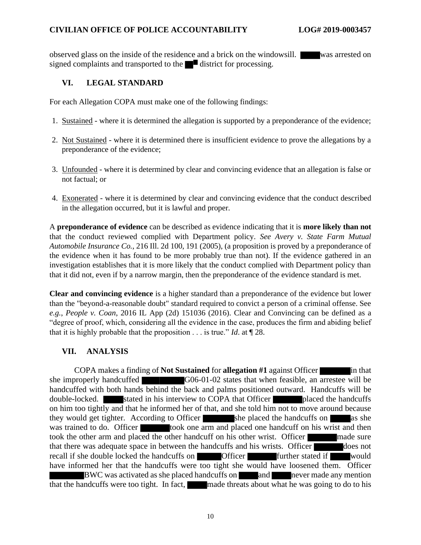observed glass on the inside of the residence and a brick on the windowsill. was arrested on signed complaints and transported to the  $\blacksquare$  district for processing.

# **VI. LEGAL STANDARD**

For each Allegation COPA must make one of the following findings:

- 1. Sustained where it is determined the allegation is supported by a preponderance of the evidence;
- 2. Not Sustained where it is determined there is insufficient evidence to prove the allegations by a preponderance of the evidence;
- 3. Unfounded where it is determined by clear and convincing evidence that an allegation is false or not factual; or
- 4. Exonerated where it is determined by clear and convincing evidence that the conduct described in the allegation occurred, but it is lawful and proper.

A **preponderance of evidence** can be described as evidence indicating that it is **more likely than not** that the conduct reviewed complied with Department policy. *See Avery v. State Farm Mutual Automobile Insurance Co.*, 216 Ill. 2d 100, 191 (2005), (a proposition is proved by a preponderance of the evidence when it has found to be more probably true than not). If the evidence gathered in an investigation establishes that it is more likely that the conduct complied with Department policy than that it did not, even if by a narrow margin, then the preponderance of the evidence standard is met.

**Clear and convincing evidence** is a higher standard than a preponderance of the evidence but lower than the "beyond-a-reasonable doubt" standard required to convict a person of a criminal offense. See *e.g.*, *People v. Coan*, 2016 IL App (2d) 151036 (2016). Clear and Convincing can be defined as a "degree of proof, which, considering all the evidence in the case, produces the firm and abiding belief that it is highly probable that the proposition . . . is true." *Id*. at ¶ 28.

### **VII. ANALYSIS**

COPA makes a finding of **Not Sustained** for **allegation #1** against Officer in that she improperly handcuffed G06-01-02 states that when feasible, an arrestee will be handcuffed with both hands behind the back and palms positioned outward. Handcuffs will be double-locked. stated in his interview to COPA that Officer placed the handcuffs on him too tightly and that he informed her of that, and she told him not to move around because they would get tighter. According to Officer she placed the handcuffs on as she was trained to do. Officer took one arm and placed one handcuff on his wrist and then took the other arm and placed the other handcuff on his other wrist. Officer made sure that there was adequate space in between the handcuffs and his wrists. Officer does not recall if she double locked the handcuffs on **Officer** further stated if would have informed her that the handcuffs were too tight she would have loosened them. Officer BWC was activated as she placed handcuffs on and never made any mention that the handcuffs were too tight. In fact, made threats about what he was going to do to his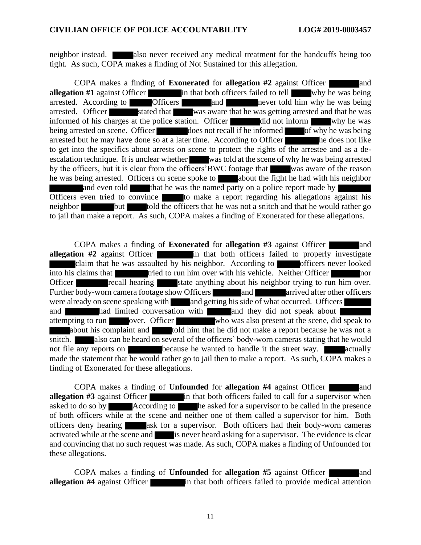neighbor instead. also never received any medical treatment for the handcuffs being too tight. As such, COPA makes a finding of Not Sustained for this allegation.

COPA makes a finding of **Exonerated** for **allegation #2** against Officer **allegation #1** against Officer in that both officers failed to tell why he was being arrested. According to **Officers** and never told him why he was being arrested. Officer stated that was aware that he was getting arrested and that he was informed of his charges at the police station. Officer did not inform why he was being arrested on scene. Officer does not recall if he informed of why he was being arrested but he may have done so at a later time. According to Officer he does not like to get into the specifics about arrests on scene to protect the rights of the arrestee and as a deescalation technique. It is unclear whether was told at the scene of why he was being arrested by the officers, but it is clear from the officers'BWC footage that was aware of the reason he was being arrested. Officers on scene spoke to about the fight he had with his neighbor and even told that he was the named party on a police report made by Officers even tried to convince to make a report regarding his allegations against his neighbor but told the officers that he was not a snitch and that he would rather go to jail than make a report. As such, COPA makes a finding of Exonerated for these allegations.

COPA makes a finding of **Exonerated** for **allegation #3** against Officer and **allegation #2** against Officer claim that he was assaulted by his neighbor. According to **officers** never looked into his claims that tried to run him over with his vehicle. Neither Officer nor Officer recall hearing state anything about his neighbor trying to run him over. Further body-worn camera footage show Officers and arrived after other officers were already on scene speaking with and getting his side of what occurred. Officers and **had limited conversation with** and they did not speak about attempting to run over. Officer who was also present at the scene, did speak to about his complaint and told him that he did not make a report because he was not a snitch. also can be heard on several of the officers' body-worn cameras stating that he would not file any reports on **because** he wanted to handle it the street way. **The actually** made the statement that he would rather go to jail then to make a report. As such, COPA makes a finding of Exonerated for these allegations.

**COPA** makes a finding of **Unfounded** for **allegation** #4 against Officer **allegation #3** against Officer in that both officers failed to call for a supervisor when asked to do so by **According to** he asked for a supervisor to be called in the presence of both officers while at the scene and neither one of them called a supervisor for him. Both officers deny hearing ask for a supervisor. Both officers had their body-worn cameras activated while at the scene and is never heard asking for a supervisor. The evidence is clear and convincing that no such request was made. As such, COPA makes a finding of Unfounded for these allegations.

COPA makes a finding of **Unfounded** for **allegation #5** against Officer and **allegation #4** against Officer in that both officers failed to provide medical attention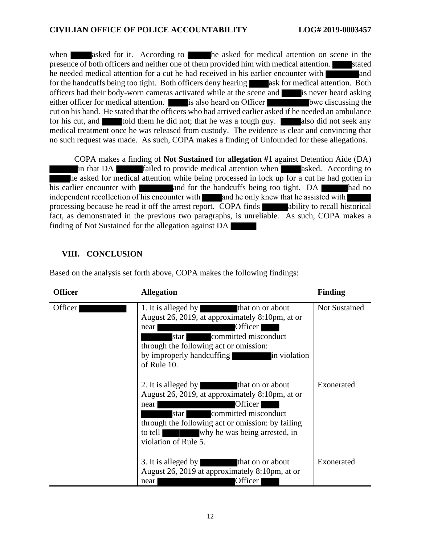when asked for it. According to he asked for medical attention on scene in the presence of both officers and neither one of them provided him with medical attention. stated he needed medical attention for a cut he had received in his earlier encounter with and for the handcuffs being too tight. Both officers deny hearing ask for medical attention. Both officers had their body-worn cameras activated while at the scene and is never heard asking either officer for medical attention. is also heard on Officer bwc discussing the cut on his hand. He stated that the officers who had arrived earlier asked if he needed an ambulance for his cut, and told them he did not; that he was a tough guy. also did not seek any medical treatment once he was released from custody. The evidence is clear and convincing that no such request was made. As such, COPA makes a finding of Unfounded for these allegations.

COPA makes a finding of **Not Sustained** for **allegation #1** against Detention Aide (DA) in that DA failed to provide medical attention when asked. According to he asked for medical attention while being processed in lock up for a cut he had gotten in his earlier encounter with and for the handcuffs being too tight. DA had no independent recollection of his encounter with  $\Box$  and he only knew that he assisted with  $\Box$ processing because he read it off the arrest report. COPA finds ability to recall historical fact, as demonstrated in the previous two paragraphs, is unreliable. As such, COPA makes a finding of Not Sustained for the allegation against DA

# **VIII. CONCLUSION**

Based on the analysis set forth above, COPA makes the following findings:

| <b>Officer</b> | <b>Allegation</b>                                                                                                                                                                                                                                                                                                                                                                                                                                                                                                                     | <b>Finding</b>                     |
|----------------|---------------------------------------------------------------------------------------------------------------------------------------------------------------------------------------------------------------------------------------------------------------------------------------------------------------------------------------------------------------------------------------------------------------------------------------------------------------------------------------------------------------------------------------|------------------------------------|
| Officer        | 1. It is alleged by<br>that on or about<br>August 26, 2019, at approximately 8:10pm, at or<br>Officer  <br>near<br>committed misconduct<br>star l<br>through the following act or omission:<br>by improperly handcuffing<br>in violation<br>of Rule 10.<br>2. It is alleged by<br>that on or about<br>August 26, 2019, at approximately 8:10pm, at or<br>Officer  <br>near<br>committed misconduct<br>star l<br>through the following act or omission: by failing<br>to tell<br>why he was being arrested, in<br>violation of Rule 5. | <b>Not Sustained</b><br>Exonerated |
|                | 3. It is alleged by<br>that on or about<br>August 26, 2019 at approximately 8:10pm, at or<br>Officer<br>near                                                                                                                                                                                                                                                                                                                                                                                                                          | Exonerated                         |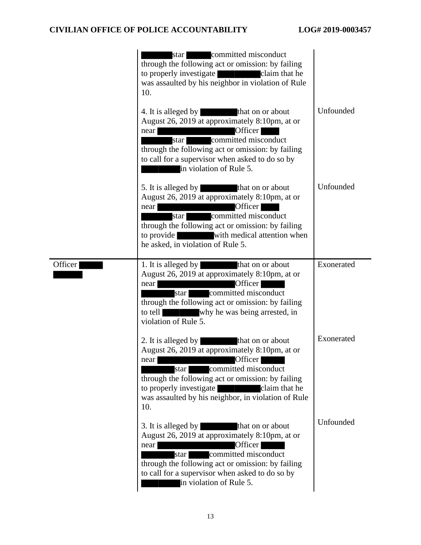|         | committed misconduct<br>star<br>through the following act or omission: by failing<br>claim that he<br>to properly investigate<br>was assaulted by his neighbor in violation of Rule<br>10.<br>4. It is alleged by that on or about<br>August 26, 2019 at approximately 8:10pm, at or<br>Officer<br>near<br>committed misconduct<br>star  <br>through the following act or omission: by failing | Unfounded  |
|---------|------------------------------------------------------------------------------------------------------------------------------------------------------------------------------------------------------------------------------------------------------------------------------------------------------------------------------------------------------------------------------------------------|------------|
|         | to call for a supervisor when asked to do so by<br>in violation of Rule 5.<br>5. It is alleged by<br>that on or about<br>August 26, 2019 at approximately 8:10pm, at or<br>Officer<br>near<br>committed misconduct<br>star  <br>through the following act or omission: by failing<br>to provide<br>with medical attention when<br>he asked, in violation of Rule 5.                            | Unfounded  |
| Officer | 1. It is alleged by<br>that on or about<br>August 26, 2019 at approximately 8:10pm, at or<br>Officer<br>near<br>star committed misconduct<br>through the following act or omission: by failing<br>to tell<br>why he was being arrested, in<br>violation of Rule 5.                                                                                                                             | Exonerated |
|         | 2. It is alleged by<br>that on or about<br>August 26, 2019 at approximately 8:10pm, at or<br>Officer<br>near<br>committed misconduct<br>star  <br>through the following act or omission: by failing<br>to properly investigate<br>claim that he<br>was assaulted by his neighbor, in violation of Rule<br>10.                                                                                  | Exonerated |
|         | 3. It is alleged by<br>that on or about<br>August 26, 2019 at approximately 8:10pm, at or<br>Officer<br>near<br>star committed misconduct<br>through the following act or omission: by failing<br>to call for a supervisor when asked to do so by<br>in violation of Rule 5.                                                                                                                   | Unfounded  |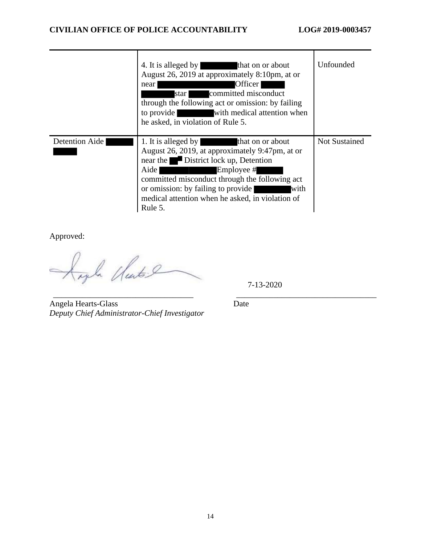|                | 4. It is alleged by that on or about<br>August 26, 2019 at approximately 8:10pm, at or<br>Officer<br>near<br>committed misconduct<br>star  <br>through the following act or omission: by failing<br>with medical attention when<br>to provide<br>he asked, in violation of Rule 5.                                      | Unfounded     |
|----------------|-------------------------------------------------------------------------------------------------------------------------------------------------------------------------------------------------------------------------------------------------------------------------------------------------------------------------|---------------|
| Detention Aide | 1. It is alleged by<br>that on or about<br>August 26, 2019, at approximately 9:47pm, at or<br>near the District lock up, Detention<br>Aide<br>Employee #<br>committed misconduct through the following act<br>or omission: by failing to provide<br>with<br>medical attention when he asked, in violation of<br>Rule 5. | Not Sustained |

Approved:

la Clutal

7-13-2020

Angela Hearts-Glass Date *Deputy Chief Administrator-Chief Investigator* 

\_\_\_\_\_\_\_\_\_\_\_\_\_\_\_\_\_\_\_\_\_\_\_\_\_\_\_\_\_\_\_\_\_\_ \_\_\_\_\_\_\_\_\_\_\_\_\_\_\_\_\_\_\_\_\_\_\_\_\_\_\_\_\_\_\_\_\_\_